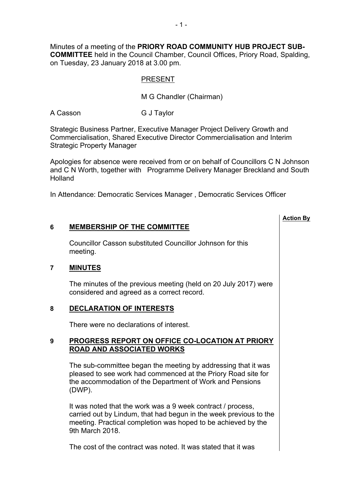Minutes of a meeting of the **PRIORY ROAD COMMUNITY HUB PROJECT SUB-COMMITTEE** held in the Council Chamber, Council Offices, Priory Road, Spalding, on Tuesday, 23 January 2018 at 3.00 pm.

# PRESENT

M G Chandler (Chairman)

A Casson G J Taylor

Strategic Business Partner, Executive Manager Project Delivery Growth and Commercialisation, Shared Executive Director Commercialisation and Interim Strategic Property Manager

Apologies for absence were received from or on behalf of Councillors C N Johnson and C N Worth, together with Programme Delivery Manager Breckland and South Holland

**Action By**

In Attendance: Democratic Services Manager , Democratic Services Officer

# **6 MEMBERSHIP OF THE COMMITTEE**

Councillor Casson substituted Councillor Johnson for this meeting.

## **7 MINUTES**

The minutes of the previous meeting (held on 20 July 2017) were considered and agreed as a correct record.

## **8 DECLARATION OF INTERESTS**

There were no declarations of interest.

# **9 PROGRESS REPORT ON OFFICE CO-LOCATION AT PRIORY ROAD AND ASSOCIATED WORKS**

The sub-committee began the meeting by addressing that it was pleased to see work had commenced at the Priory Road site for the accommodation of the Department of Work and Pensions (DWP).

It was noted that the work was a 9 week contract / process, carried out by Lindum, that had begun in the week previous to the meeting. Practical completion was hoped to be achieved by the 9th March 2018.

The cost of the contract was noted. It was stated that it was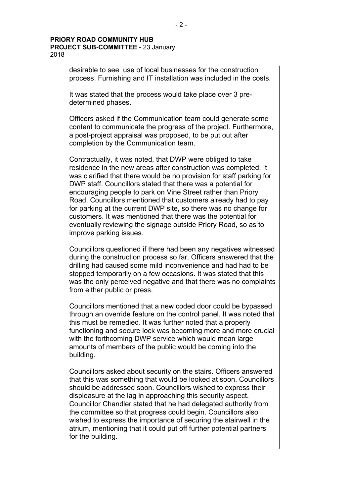#### **PRIORY ROAD COMMUNITY HUB PROJECT SUB-COMMITTEE** - 23 January 2018

desirable to see use of local businesses for the construction process. Furnishing and IT installation was included in the costs.

It was stated that the process would take place over 3 predetermined phases.

Officers asked if the Communication team could generate some content to communicate the progress of the project. Furthermore, a post-project appraisal was proposed, to be put out after completion by the Communication team.

Contractually, it was noted, that DWP were obliged to take residence in the new areas after construction was completed. It was clarified that there would be no provision for staff parking for DWP staff. Councillors stated that there was a potential for encouraging people to park on Vine Street rather than Priory Road. Councillors mentioned that customers already had to pay for parking at the current DWP site, so there was no change for customers. It was mentioned that there was the potential for eventually reviewing the signage outside Priory Road, so as to improve parking issues.

Councillors questioned if there had been any negatives witnessed during the construction process so far. Officers answered that the drilling had caused some mild inconvenience and had had to be stopped temporarily on a few occasions. It was stated that this was the only perceived negative and that there was no complaints from either public or press.

Councillors mentioned that a new coded door could be bypassed through an override feature on the control panel. It was noted that this must be remedied. It was further noted that a properly functioning and secure lock was becoming more and more crucial with the forthcoming DWP service which would mean large amounts of members of the public would be coming into the building.

Councillors asked about security on the stairs. Officers answered that this was something that would be looked at soon. Councillors should be addressed soon. Councillors wished to express their displeasure at the lag in approaching this security aspect. Councillor Chandler stated that he had delegated authority from the committee so that progress could begin. Councillors also wished to express the importance of securing the stairwell in the atrium, mentioning that it could put off further potential partners for the building.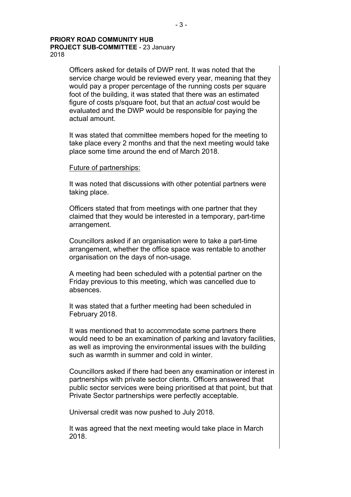#### **PRIORY ROAD COMMUNITY HUB PROJECT SUB-COMMITTEE** - 23 January 2018

Officers asked for details of DWP rent. It was noted that the service charge would be reviewed every year, meaning that they would pay a proper percentage of the running costs per square foot of the building, it was stated that there was an estimated figure of costs p/square foot, but that an *actual* cost would be evaluated and the DWP would be responsible for paying the actual amount.

It was stated that committee members hoped for the meeting to take place every 2 months and that the next meeting would take place some time around the end of March 2018.

#### Future of partnerships:

It was noted that discussions with other potential partners were taking place.

Officers stated that from meetings with one partner that they claimed that they would be interested in a temporary, part-time arrangement.

Councillors asked if an organisation were to take a part-time arrangement, whether the office space was rentable to another organisation on the days of non-usage.

A meeting had been scheduled with a potential partner on the Friday previous to this meeting, which was cancelled due to absences.

It was stated that a further meeting had been scheduled in February 2018.

It was mentioned that to accommodate some partners there would need to be an examination of parking and lavatory facilities, as well as improving the environmental issues with the building such as warmth in summer and cold in winter.

Councillors asked if there had been any examination or interest in partnerships with private sector clients. Officers answered that public sector services were being prioritised at that point, but that Private Sector partnerships were perfectly acceptable.

Universal credit was now pushed to July 2018.

It was agreed that the next meeting would take place in March 2018.